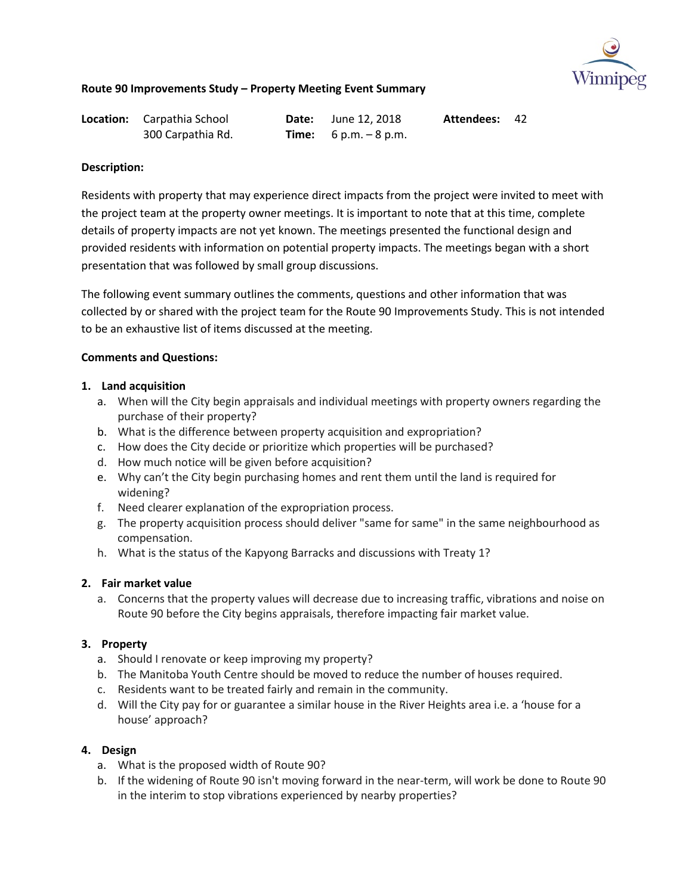

| <b>Location:</b> Carpathia School | <b>Date:</b> June 12, 2018     | Attendees: 42 |  |
|-----------------------------------|--------------------------------|---------------|--|
| 300 Carpathia Rd.                 | <b>Time:</b> $6 p.m. - 8 p.m.$ |               |  |

### **Description:**

Residents with property that may experience direct impacts from the project were invited to meet with the project team at the property owner meetings. It is important to note that at this time, complete details of property impacts are not yet known. The meetings presented the functional design and provided residents with information on potential property impacts. The meetings began with a short presentation that was followed by small group discussions.

The following event summary outlines the comments, questions and other information that was collected by or shared with the project team for the Route 90 Improvements Study. This is not intended to be an exhaustive list of items discussed at the meeting.

## **Comments and Questions:**

### **1. Land acquisition**

- a. When will the City begin appraisals and individual meetings with property owners regarding the purchase of their property?
- b. What is the difference between property acquisition and expropriation?
- c. How does the City decide or prioritize which properties will be purchased?
- d. How much notice will be given before acquisition?
- e. Why can't the City begin purchasing homes and rent them until the land is required for widening?
- f. Need clearer explanation of the expropriation process.
- g. The property acquisition process should deliver "same for same" in the same neighbourhood as compensation.
- h. What is the status of the Kapyong Barracks and discussions with Treaty 1?

### **2. Fair market value**

a. Concerns that the property values will decrease due to increasing traffic, vibrations and noise on Route 90 before the City begins appraisals, therefore impacting fair market value.

### **3. Property**

- a. Should I renovate or keep improving my property?
- b. The Manitoba Youth Centre should be moved to reduce the number of houses required.
- c. Residents want to be treated fairly and remain in the community.
- d. Will the City pay for or guarantee a similar house in the River Heights area i.e. a 'house for a house' approach?

- a. What is the proposed width of Route 90?
- b. If the widening of Route 90 isn't moving forward in the near-term, will work be done to Route 90 in the interim to stop vibrations experienced by nearby properties?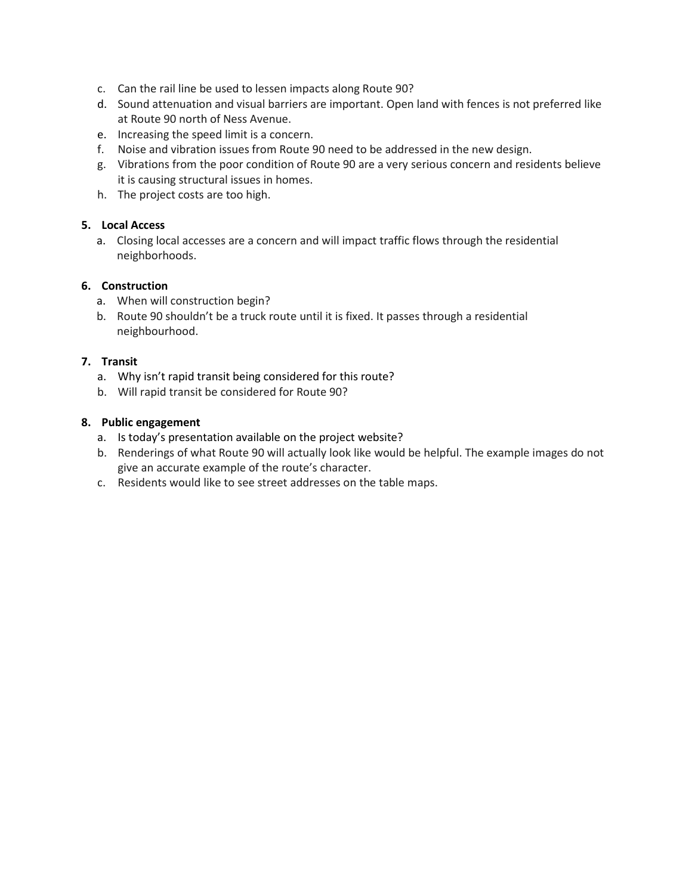- c. Can the rail line be used to lessen impacts along Route 90?
- d. Sound attenuation and visual barriers are important. Open land with fences is not preferred like at Route 90 north of Ness Avenue.
- e. Increasing the speed limit is a concern.
- f. Noise and vibration issues from Route 90 need to be addressed in the new design.
- g. Vibrations from the poor condition of Route 90 are a very serious concern and residents believe it is causing structural issues in homes.
- h. The project costs are too high.

## **5. Local Access**

a. Closing local accesses are a concern and will impact traffic flows through the residential neighborhoods.

## **6. Construction**

- a. When will construction begin?
- b. Route 90 shouldn't be a truck route until it is fixed. It passes through a residential neighbourhood.

## **7. Transit**

- a. Why isn't rapid transit being considered for this route?
- b. Will rapid transit be considered for Route 90?

- a. Is today's presentation available on the project website?
- b. Renderings of what Route 90 will actually look like would be helpful. The example images do not give an accurate example of the route's character.
- c. Residents would like to see street addresses on the table maps.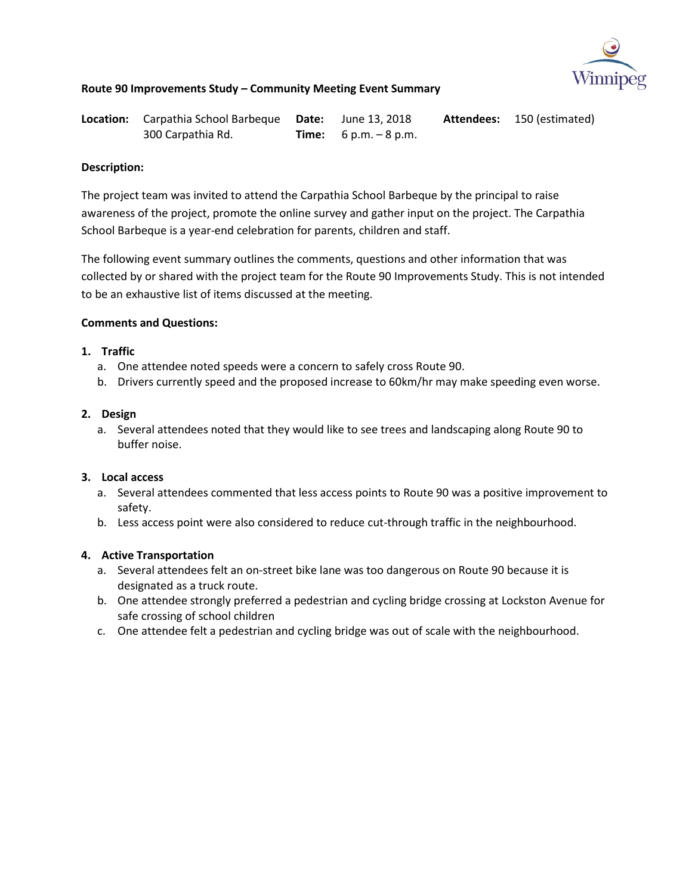

| <b>Location:</b> Carpathia School Barbeque Date: June 13, 2018 |                                | <b>Attendees:</b> 150 (estimated) |
|----------------------------------------------------------------|--------------------------------|-----------------------------------|
| 300 Carpathia Rd.                                              | <b>Time:</b> $6 p.m. - 8 p.m.$ |                                   |

### **Description:**

The project team was invited to attend the Carpathia School Barbeque by the principal to raise awareness of the project, promote the online survey and gather input on the project. The Carpathia School Barbeque is a year-end celebration for parents, children and staff.

The following event summary outlines the comments, questions and other information that was collected by or shared with the project team for the Route 90 Improvements Study. This is not intended to be an exhaustive list of items discussed at the meeting.

## **Comments and Questions:**

## **1. Traffic**

- a. One attendee noted speeds were a concern to safely cross Route 90.
- b. Drivers currently speed and the proposed increase to 60km/hr may make speeding even worse.

### **2. Design**

a. Several attendees noted that they would like to see trees and landscaping along Route 90 to buffer noise.

### **3. Local access**

- a. Several attendees commented that less access points to Route 90 was a positive improvement to safety.
- b. Less access point were also considered to reduce cut-through traffic in the neighbourhood.

# **4. Active Transportation**

- a. Several attendees felt an on-street bike lane was too dangerous on Route 90 because it is designated as a truck route.
- b. One attendee strongly preferred a pedestrian and cycling bridge crossing at Lockston Avenue for safe crossing of school children
- c. One attendee felt a pedestrian and cycling bridge was out of scale with the neighbourhood.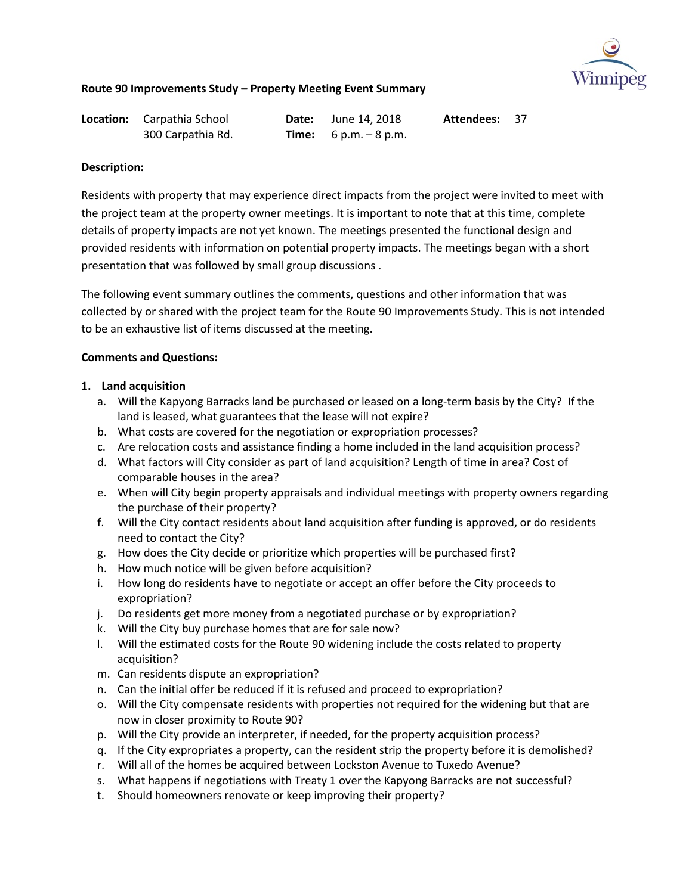

| <b>Location:</b> Carpathia School | <b>Date:</b> June 14, 2018     | <b>Attendees: 37</b> |  |
|-----------------------------------|--------------------------------|----------------------|--|
| 300 Carpathia Rd.                 | <b>Time:</b> $6 p.m. - 8 p.m.$ |                      |  |

### **Description:**

Residents with property that may experience direct impacts from the project were invited to meet with the project team at the property owner meetings. It is important to note that at this time, complete details of property impacts are not yet known. The meetings presented the functional design and provided residents with information on potential property impacts. The meetings began with a short presentation that was followed by small group discussions .

The following event summary outlines the comments, questions and other information that was collected by or shared with the project team for the Route 90 Improvements Study. This is not intended to be an exhaustive list of items discussed at the meeting.

## **Comments and Questions:**

## **1. Land acquisition**

- a. Will the Kapyong Barracks land be purchased or leased on a long-term basis by the City? If the land is leased, what guarantees that the lease will not expire?
- b. What costs are covered for the negotiation or expropriation processes?
- c. Are relocation costs and assistance finding a home included in the land acquisition process?
- d. What factors will City consider as part of land acquisition? Length of time in area? Cost of comparable houses in the area?
- e. When will City begin property appraisals and individual meetings with property owners regarding the purchase of their property?
- f. Will the City contact residents about land acquisition after funding is approved, or do residents need to contact the City?
- g. How does the City decide or prioritize which properties will be purchased first?
- h. How much notice will be given before acquisition?
- i. How long do residents have to negotiate or accept an offer before the City proceeds to expropriation?
- j. Do residents get more money from a negotiated purchase or by expropriation?
- k. Will the City buy purchase homes that are for sale now?
- l. Will the estimated costs for the Route 90 widening include the costs related to property acquisition?
- m. Can residents dispute an expropriation?
- n. Can the initial offer be reduced if it is refused and proceed to expropriation?
- o. Will the City compensate residents with properties not required for the widening but that are now in closer proximity to Route 90?
- p. Will the City provide an interpreter, if needed, for the property acquisition process?
- q. If the City expropriates a property, can the resident strip the property before it is demolished?
- r. Will all of the homes be acquired between Lockston Avenue to Tuxedo Avenue?
- s. What happens if negotiations with Treaty 1 over the Kapyong Barracks are not successful?
- t. Should homeowners renovate or keep improving their property?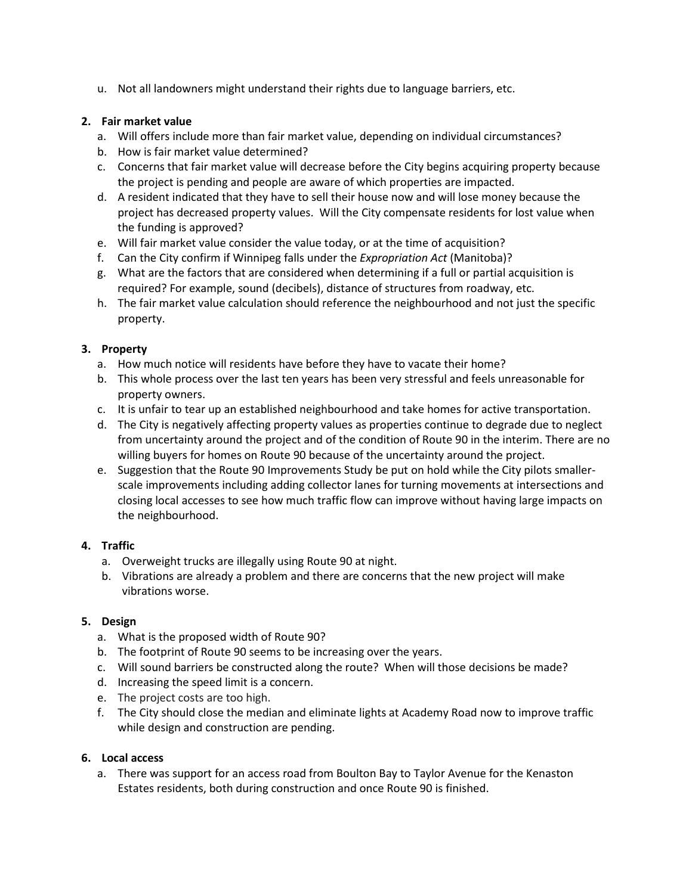u. Not all landowners might understand their rights due to language barriers, etc.

## **2. Fair market value**

- a. Will offers include more than fair market value, depending on individual circumstances?
- b. How is fair market value determined?
- c. Concerns that fair market value will decrease before the City begins acquiring property because the project is pending and people are aware of which properties are impacted.
- d. A resident indicated that they have to sell their house now and will lose money because the project has decreased property values. Will the City compensate residents for lost value when the funding is approved?
- e. Will fair market value consider the value today, or at the time of acquisition?
- f. Can the City confirm if Winnipeg falls under the *Expropriation Act* (Manitoba)?
- g. What are the factors that are considered when determining if a full or partial acquisition is required? For example, sound (decibels), distance of structures from roadway, etc.
- h. The fair market value calculation should reference the neighbourhood and not just the specific property.

## **3. Property**

- a. How much notice will residents have before they have to vacate their home?
- b. This whole process over the last ten years has been very stressful and feels unreasonable for property owners.
- c. It is unfair to tear up an established neighbourhood and take homes for active transportation.
- d. The City is negatively affecting property values as properties continue to degrade due to neglect from uncertainty around the project and of the condition of Route 90 in the interim. There are no willing buyers for homes on Route 90 because of the uncertainty around the project.
- e. Suggestion that the Route 90 Improvements Study be put on hold while the City pilots smallerscale improvements including adding collector lanes for turning movements at intersections and closing local accesses to see how much traffic flow can improve without having large impacts on the neighbourhood.

### **4. Traffic**

- a. Overweight trucks are illegally using Route 90 at night.
- b. Vibrations are already a problem and there are concerns that the new project will make vibrations worse.

### **5. Design**

- a. What is the proposed width of Route 90?
- b. The footprint of Route 90 seems to be increasing over the years.
- c. Will sound barriers be constructed along the route? When will those decisions be made?
- d. Increasing the speed limit is a concern.
- e. The project costs are too high.
- f. The City should close the median and eliminate lights at Academy Road now to improve traffic while design and construction are pending.

# **6. Local access**

a. There was support for an access road from Boulton Bay to Taylor Avenue for the Kenaston Estates residents, both during construction and once Route 90 is finished.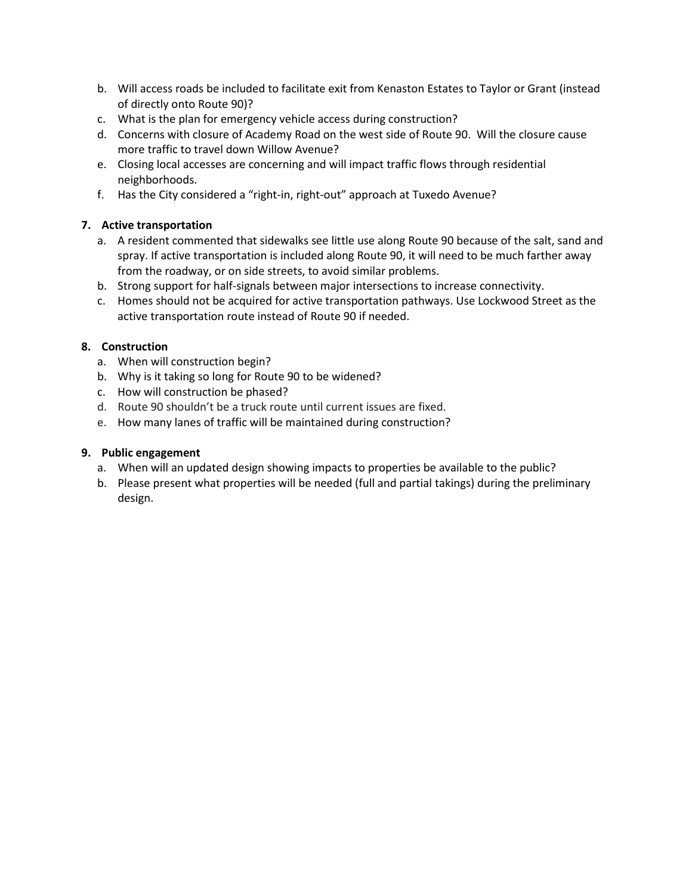- b. Will access roads be included to facilitate exit from Kenaston Estates to Taylor or Grant (instead of directly onto Route 90)?
- c. What is the plan for emergency vehicle access during construction?
- d. Concerns with closure of Academy Road on the west side of Route 90. Will the closure cause more traffic to travel down Willow Avenue?
- e. Closing local accesses are concerning and will impact traffic flows through residential neighborhoods.
- f. Has the City considered a "right-in, right-out" approach at Tuxedo Avenue?

# **7. Active transportation**

- a. A resident commented that sidewalks see little use along Route 90 because of the salt, sand and spray. If active transportation is included along Route 90, it will need to be much farther away from the roadway, or on side streets, to avoid similar problems.
- b. Strong support for half-signals between major intersections to increase connectivity.
- c. Homes should not be acquired for active transportation pathways. Use Lockwood Street as the active transportation route instead of Route 90 if needed.

## **8. Construction**

- a. When will construction begin?
- b. Why is it taking so long for Route 90 to be widened?
- c. How will construction be phased?
- d. Route 90 shouldn't be a truck route until current issues are fixed.
- e. How many lanes of traffic will be maintained during construction?

- a. When will an updated design showing impacts to properties be available to the public?
- b. Please present what properties will be needed (full and partial takings) during the preliminary design.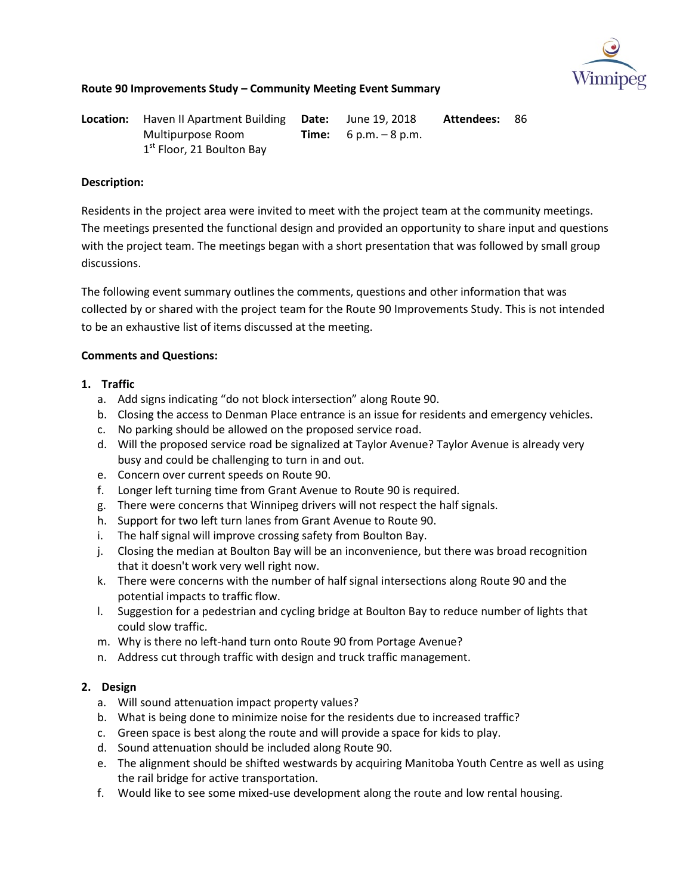

**Location:** Haven II Apartment Building **Date:** Multipurpose Room 1<sup>st</sup> Floor, 21 Boulton Bay **Time:**  June 19, 2018 6 p.m. – 8 p.m. **Attendees:** 86

### **Description:**

Residents in the project area were invited to meet with the project team at the community meetings. The meetings presented the functional design and provided an opportunity to share input and questions with the project team. The meetings began with a short presentation that was followed by small group discussions.

The following event summary outlines the comments, questions and other information that was collected by or shared with the project team for the Route 90 Improvements Study. This is not intended to be an exhaustive list of items discussed at the meeting.

## **Comments and Questions:**

## **1. Traffic**

- a. Add signs indicating "do not block intersection" along Route 90.
- b. Closing the access to Denman Place entrance is an issue for residents and emergency vehicles.
- c. No parking should be allowed on the proposed service road.
- d. Will the proposed service road be signalized at Taylor Avenue? Taylor Avenue is already very busy and could be challenging to turn in and out.
- e. Concern over current speeds on Route 90.
- f. Longer left turning time from Grant Avenue to Route 90 is required.
- g. There were concerns that Winnipeg drivers will not respect the half signals.
- h. Support for two left turn lanes from Grant Avenue to Route 90.
- i. The half signal will improve crossing safety from Boulton Bay.
- j. Closing the median at Boulton Bay will be an inconvenience, but there was broad recognition that it doesn't work very well right now.
- k. There were concerns with the number of half signal intersections along Route 90 and the potential impacts to traffic flow.
- l. Suggestion for a pedestrian and cycling bridge at Boulton Bay to reduce number of lights that could slow traffic.
- m. Why is there no left-hand turn onto Route 90 from Portage Avenue?
- n. Address cut through traffic with design and truck traffic management.

- a. Will sound attenuation impact property values?
- b. What is being done to minimize noise for the residents due to increased traffic?
- c. Green space is best along the route and will provide a space for kids to play.
- d. Sound attenuation should be included along Route 90.
- e. The alignment should be shifted westwards by acquiring Manitoba Youth Centre as well as using the rail bridge for active transportation.
- f. Would like to see some mixed-use development along the route and low rental housing.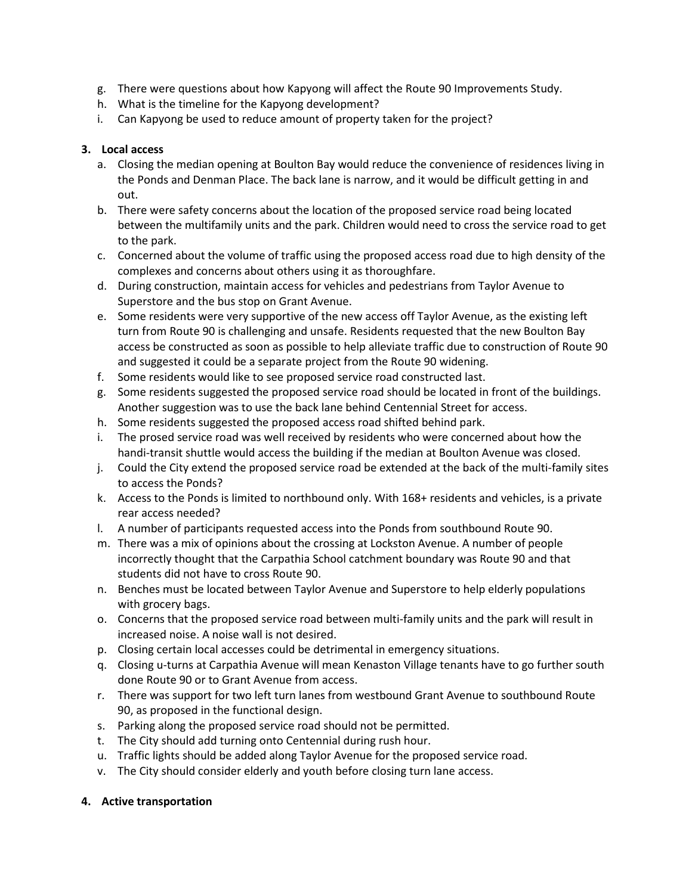- g. There were questions about how Kapyong will affect the Route 90 Improvements Study.
- h. What is the timeline for the Kapyong development?
- i. Can Kapyong be used to reduce amount of property taken for the project?

## **3. Local access**

- a. Closing the median opening at Boulton Bay would reduce the convenience of residences living in the Ponds and Denman Place. The back lane is narrow, and it would be difficult getting in and out.
- b. There were safety concerns about the location of the proposed service road being located between the multifamily units and the park. Children would need to cross the service road to get to the park.
- c. Concerned about the volume of traffic using the proposed access road due to high density of the complexes and concerns about others using it as thoroughfare.
- d. During construction, maintain access for vehicles and pedestrians from Taylor Avenue to Superstore and the bus stop on Grant Avenue.
- e. Some residents were very supportive of the new access off Taylor Avenue, as the existing left turn from Route 90 is challenging and unsafe. Residents requested that the new Boulton Bay access be constructed as soon as possible to help alleviate traffic due to construction of Route 90 and suggested it could be a separate project from the Route 90 widening.
- f. Some residents would like to see proposed service road constructed last.
- g. Some residents suggested the proposed service road should be located in front of the buildings. Another suggestion was to use the back lane behind Centennial Street for access.
- h. Some residents suggested the proposed access road shifted behind park.
- i. The prosed service road was well received by residents who were concerned about how the handi-transit shuttle would access the building if the median at Boulton Avenue was closed.
- j. Could the City extend the proposed service road be extended at the back of the multi-family sites to access the Ponds?
- k. Access to the Ponds is limited to northbound only. With 168+ residents and vehicles, is a private rear access needed?
- l. A number of participants requested access into the Ponds from southbound Route 90.
- m. There was a mix of opinions about the crossing at Lockston Avenue. A number of people incorrectly thought that the Carpathia School catchment boundary was Route 90 and that students did not have to cross Route 90.
- n. Benches must be located between Taylor Avenue and Superstore to help elderly populations with grocery bags.
- o. Concerns that the proposed service road between multi-family units and the park will result in increased noise. A noise wall is not desired.
- p. Closing certain local accesses could be detrimental in emergency situations.
- q. Closing u-turns at Carpathia Avenue will mean Kenaston Village tenants have to go further south done Route 90 or to Grant Avenue from access.
- r. There was support for two left turn lanes from westbound Grant Avenue to southbound Route 90, as proposed in the functional design.
- s. Parking along the proposed service road should not be permitted.
- t. The City should add turning onto Centennial during rush hour.
- u. Traffic lights should be added along Taylor Avenue for the proposed service road.
- v. The City should consider elderly and youth before closing turn lane access.

### **4. Active transportation**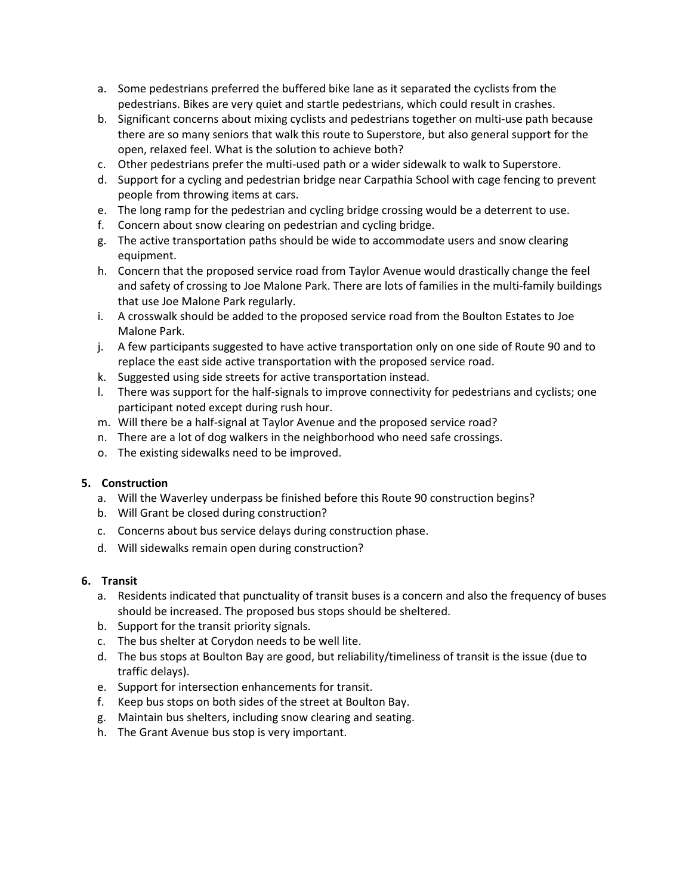- a. Some pedestrians preferred the buffered bike lane as it separated the cyclists from the pedestrians. Bikes are very quiet and startle pedestrians, which could result in crashes.
- b. Significant concerns about mixing cyclists and pedestrians together on multi-use path because there are so many seniors that walk this route to Superstore, but also general support for the open, relaxed feel. What is the solution to achieve both?
- c. Other pedestrians prefer the multi-used path or a wider sidewalk to walk to Superstore.
- d. Support for a cycling and pedestrian bridge near Carpathia School with cage fencing to prevent people from throwing items at cars.
- e. The long ramp for the pedestrian and cycling bridge crossing would be a deterrent to use.
- f. Concern about snow clearing on pedestrian and cycling bridge.
- g. The active transportation paths should be wide to accommodate users and snow clearing equipment.
- h. Concern that the proposed service road from Taylor Avenue would drastically change the feel and safety of crossing to Joe Malone Park. There are lots of families in the multi-family buildings that use Joe Malone Park regularly.
- i. A crosswalk should be added to the proposed service road from the Boulton Estates to Joe Malone Park.
- j. A few participants suggested to have active transportation only on one side of Route 90 and to replace the east side active transportation with the proposed service road.
- k. Suggested using side streets for active transportation instead.
- l. There was support for the half-signals to improve connectivity for pedestrians and cyclists; one participant noted except during rush hour.
- m. Will there be a half-signal at Taylor Avenue and the proposed service road?
- n. There are a lot of dog walkers in the neighborhood who need safe crossings.
- o. The existing sidewalks need to be improved.

### **5. Construction**

- a. Will the Waverley underpass be finished before this Route 90 construction begins?
- b. Will Grant be closed during construction?
- c. Concerns about bus service delays during construction phase.
- d. Will sidewalks remain open during construction?

### **6. Transit**

- a. Residents indicated that punctuality of transit buses is a concern and also the frequency of buses should be increased. The proposed bus stops should be sheltered.
- b. Support for the transit priority signals.
- c. The bus shelter at Corydon needs to be well lite.
- d. The bus stops at Boulton Bay are good, but reliability/timeliness of transit is the issue (due to traffic delays).
- e. Support for intersection enhancements for transit.
- f. Keep bus stops on both sides of the street at Boulton Bay.
- g. Maintain bus shelters, including snow clearing and seating.
- h. The Grant Avenue bus stop is very important.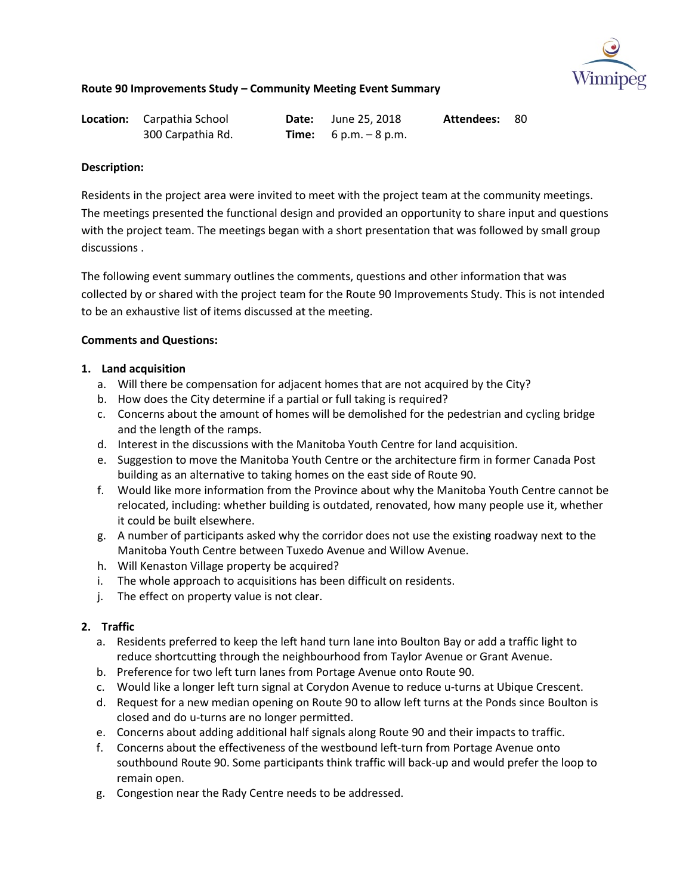

| <b>Location:</b> Carpathia School | <b>Date:</b> June 25, 2018     | <b>Attendees: 80</b> |  |
|-----------------------------------|--------------------------------|----------------------|--|
| 300 Carpathia Rd.                 | <b>Time:</b> $6 p.m. - 8 p.m.$ |                      |  |

### **Description:**

Residents in the project area were invited to meet with the project team at the community meetings. The meetings presented the functional design and provided an opportunity to share input and questions with the project team. The meetings began with a short presentation that was followed by small group discussions .

The following event summary outlines the comments, questions and other information that was collected by or shared with the project team for the Route 90 Improvements Study. This is not intended to be an exhaustive list of items discussed at the meeting.

## **Comments and Questions:**

## **1. Land acquisition**

- a. Will there be compensation for adjacent homes that are not acquired by the City?
- b. How does the City determine if a partial or full taking is required?
- c. Concerns about the amount of homes will be demolished for the pedestrian and cycling bridge and the length of the ramps.
- d. Interest in the discussions with the Manitoba Youth Centre for land acquisition.
- e. Suggestion to move the Manitoba Youth Centre or the architecture firm in former Canada Post building as an alternative to taking homes on the east side of Route 90.
- f. Would like more information from the Province about why the Manitoba Youth Centre cannot be relocated, including: whether building is outdated, renovated, how many people use it, whether it could be built elsewhere.
- g. A number of participants asked why the corridor does not use the existing roadway next to the Manitoba Youth Centre between Tuxedo Avenue and Willow Avenue.
- h. Will Kenaston Village property be acquired?
- i. The whole approach to acquisitions has been difficult on residents.
- j. The effect on property value is not clear.

# **2. Traffic**

- a. Residents preferred to keep the left hand turn lane into Boulton Bay or add a traffic light to reduce shortcutting through the neighbourhood from Taylor Avenue or Grant Avenue.
- b. Preference for two left turn lanes from Portage Avenue onto Route 90.
- c. Would like a longer left turn signal at Corydon Avenue to reduce u-turns at Ubique Crescent.
- d. Request for a new median opening on Route 90 to allow left turns at the Ponds since Boulton is closed and do u-turns are no longer permitted.
- e. Concerns about adding additional half signals along Route 90 and their impacts to traffic.
- f. Concerns about the effectiveness of the westbound left-turn from Portage Avenue onto southbound Route 90. Some participants think traffic will back-up and would prefer the loop to remain open.
- g. Congestion near the Rady Centre needs to be addressed.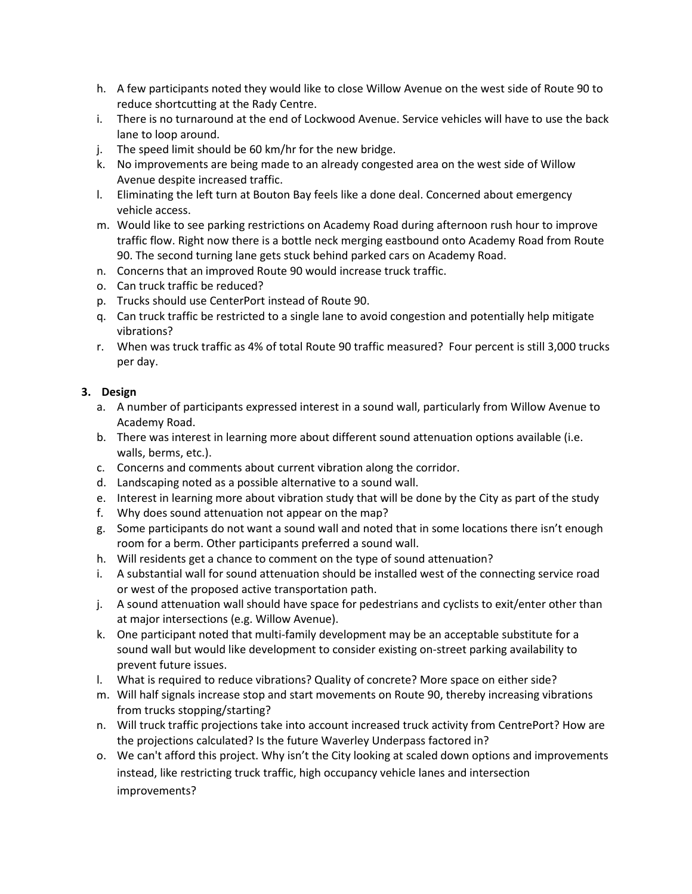- h. A few participants noted they would like to close Willow Avenue on the west side of Route 90 to reduce shortcutting at the Rady Centre.
- i. There is no turnaround at the end of Lockwood Avenue. Service vehicles will have to use the back lane to loop around.
- j. The speed limit should be 60 km/hr for the new bridge.
- k. No improvements are being made to an already congested area on the west side of Willow Avenue despite increased traffic.
- l. Eliminating the left turn at Bouton Bay feels like a done deal. Concerned about emergency vehicle access.
- m. Would like to see parking restrictions on Academy Road during afternoon rush hour to improve traffic flow. Right now there is a bottle neck merging eastbound onto Academy Road from Route 90. The second turning lane gets stuck behind parked cars on Academy Road.
- n. Concerns that an improved Route 90 would increase truck traffic.
- o. Can truck traffic be reduced?
- p. Trucks should use CenterPort instead of Route 90.
- q. Can truck traffic be restricted to a single lane to avoid congestion and potentially help mitigate vibrations?
- r. When was truck traffic as 4% of total Route 90 traffic measured? Four percent is still 3,000 trucks per day.

- a. A number of participants expressed interest in a sound wall, particularly from Willow Avenue to Academy Road.
- b. There was interest in learning more about different sound attenuation options available (i.e. walls, berms, etc.).
- c. Concerns and comments about current vibration along the corridor.
- d. Landscaping noted as a possible alternative to a sound wall.
- e. Interest in learning more about vibration study that will be done by the City as part of the study
- f. Why does sound attenuation not appear on the map?
- g. Some participants do not want a sound wall and noted that in some locations there isn't enough room for a berm. Other participants preferred a sound wall.
- h. Will residents get a chance to comment on the type of sound attenuation?
- i. A substantial wall for sound attenuation should be installed west of the connecting service road or west of the proposed active transportation path.
- j. A sound attenuation wall should have space for pedestrians and cyclists to exit/enter other than at major intersections (e.g. Willow Avenue).
- k. One participant noted that multi-family development may be an acceptable substitute for a sound wall but would like development to consider existing on-street parking availability to prevent future issues.
- l. What is required to reduce vibrations? Quality of concrete? More space on either side?
- m. Will half signals increase stop and start movements on Route 90, thereby increasing vibrations from trucks stopping/starting?
- n. Will truck traffic projections take into account increased truck activity from CentrePort? How are the projections calculated? Is the future Waverley Underpass factored in?
- o. We can't afford this project. Why isn't the City looking at scaled down options and improvements instead, like restricting truck traffic, high occupancy vehicle lanes and intersection improvements?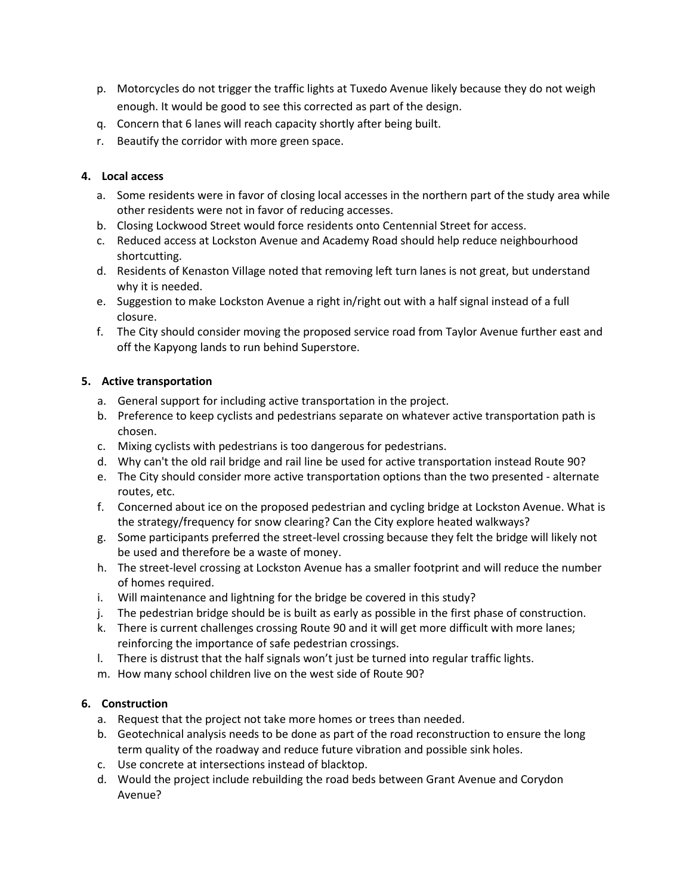- p. Motorcycles do not trigger the traffic lights at Tuxedo Avenue likely because they do not weigh enough. It would be good to see this corrected as part of the design.
- q. Concern that 6 lanes will reach capacity shortly after being built.
- r. Beautify the corridor with more green space.

## **4. Local access**

- a. Some residents were in favor of closing local accesses in the northern part of the study area while other residents were not in favor of reducing accesses.
- b. Closing Lockwood Street would force residents onto Centennial Street for access.
- c. Reduced access at Lockston Avenue and Academy Road should help reduce neighbourhood shortcutting.
- d. Residents of Kenaston Village noted that removing left turn lanes is not great, but understand why it is needed.
- e. Suggestion to make Lockston Avenue a right in/right out with a half signal instead of a full closure.
- f. The City should consider moving the proposed service road from Taylor Avenue further east and off the Kapyong lands to run behind Superstore.

## **5. Active transportation**

- a. General support for including active transportation in the project.
- b. Preference to keep cyclists and pedestrians separate on whatever active transportation path is chosen.
- c. Mixing cyclists with pedestrians is too dangerous for pedestrians.
- d. Why can't the old rail bridge and rail line be used for active transportation instead Route 90?
- e. The City should consider more active transportation options than the two presented alternate routes, etc.
- f. Concerned about ice on the proposed pedestrian and cycling bridge at Lockston Avenue. What is the strategy/frequency for snow clearing? Can the City explore heated walkways?
- g. Some participants preferred the street-level crossing because they felt the bridge will likely not be used and therefore be a waste of money.
- h. The street-level crossing at Lockston Avenue has a smaller footprint and will reduce the number of homes required.
- i. Will maintenance and lightning for the bridge be covered in this study?
- j. The pedestrian bridge should be is built as early as possible in the first phase of construction.
- k. There is current challenges crossing Route 90 and it will get more difficult with more lanes; reinforcing the importance of safe pedestrian crossings.
- l. There is distrust that the half signals won't just be turned into regular traffic lights.
- m. How many school children live on the west side of Route 90?

# **6. Construction**

- a. Request that the project not take more homes or trees than needed.
- b. Geotechnical analysis needs to be done as part of the road reconstruction to ensure the long term quality of the roadway and reduce future vibration and possible sink holes.
- c. Use concrete at intersections instead of blacktop.
- d. Would the project include rebuilding the road beds between Grant Avenue and Corydon Avenue?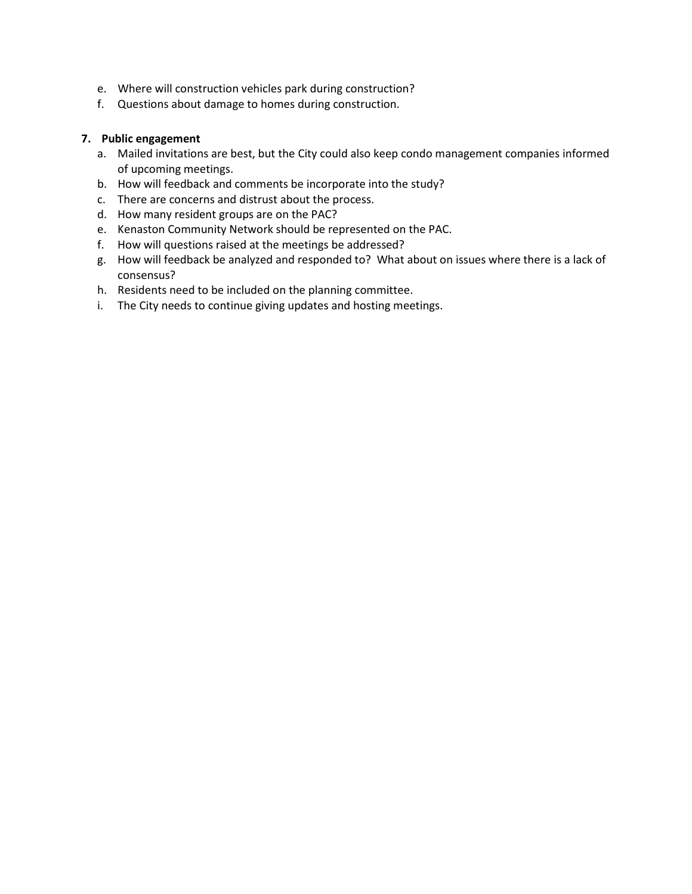- e. Where will construction vehicles park during construction?
- f. Questions about damage to homes during construction.

- a. Mailed invitations are best, but the City could also keep condo management companies informed of upcoming meetings.
- b. How will feedback and comments be incorporate into the study?
- c. There are concerns and distrust about the process.
- d. How many resident groups are on the PAC?
- e. Kenaston Community Network should be represented on the PAC.
- f. How will questions raised at the meetings be addressed?
- g. How will feedback be analyzed and responded to? What about on issues where there is a lack of consensus?
- h. Residents need to be included on the planning committee.
- i. The City needs to continue giving updates and hosting meetings.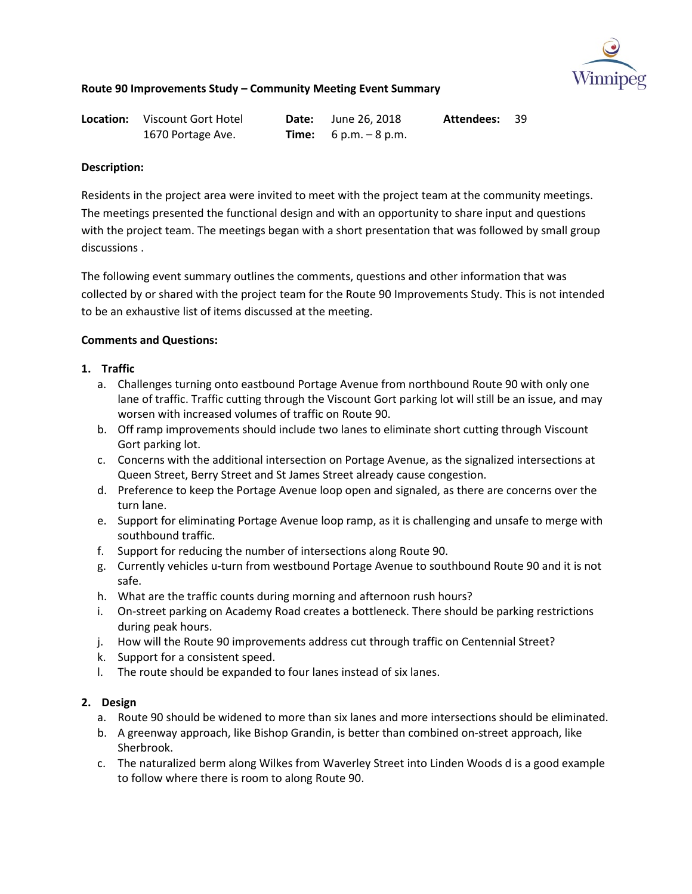

| <b>Location:</b> Viscount Gort Hotel | <b>Date:</b> June 26, 2018     | <b>Attendees: 39</b> |  |
|--------------------------------------|--------------------------------|----------------------|--|
| 1670 Portage Ave.                    | <b>Time:</b> $6 p.m. - 8 p.m.$ |                      |  |

### **Description:**

Residents in the project area were invited to meet with the project team at the community meetings. The meetings presented the functional design and with an opportunity to share input and questions with the project team. The meetings began with a short presentation that was followed by small group discussions .

The following event summary outlines the comments, questions and other information that was collected by or shared with the project team for the Route 90 Improvements Study. This is not intended to be an exhaustive list of items discussed at the meeting.

## **Comments and Questions:**

- **1. Traffic** 
	- a. Challenges turning onto eastbound Portage Avenue from northbound Route 90 with only one lane of traffic. Traffic cutting through the Viscount Gort parking lot will still be an issue, and may worsen with increased volumes of traffic on Route 90.
	- b. Off ramp improvements should include two lanes to eliminate short cutting through Viscount Gort parking lot.
	- c. Concerns with the additional intersection on Portage Avenue, as the signalized intersections at Queen Street, Berry Street and St James Street already cause congestion.
	- d. Preference to keep the Portage Avenue loop open and signaled, as there are concerns over the turn lane.
	- e. Support for eliminating Portage Avenue loop ramp, as it is challenging and unsafe to merge with southbound traffic.
	- f. Support for reducing the number of intersections along Route 90.
	- g. Currently vehicles u-turn from westbound Portage Avenue to southbound Route 90 and it is not safe.
	- h. What are the traffic counts during morning and afternoon rush hours?
	- i. On-street parking on Academy Road creates a bottleneck. There should be parking restrictions during peak hours.
	- j. How will the Route 90 improvements address cut through traffic on Centennial Street?
	- k. Support for a consistent speed.
	- l. The route should be expanded to four lanes instead of six lanes.

- a. Route 90 should be widened to more than six lanes and more intersections should be eliminated.
- b. A greenway approach, like Bishop Grandin, is better than combined on-street approach, like Sherbrook.
- c. The naturalized berm along Wilkes from Waverley Street into Linden Woods d is a good example to follow where there is room to along Route 90.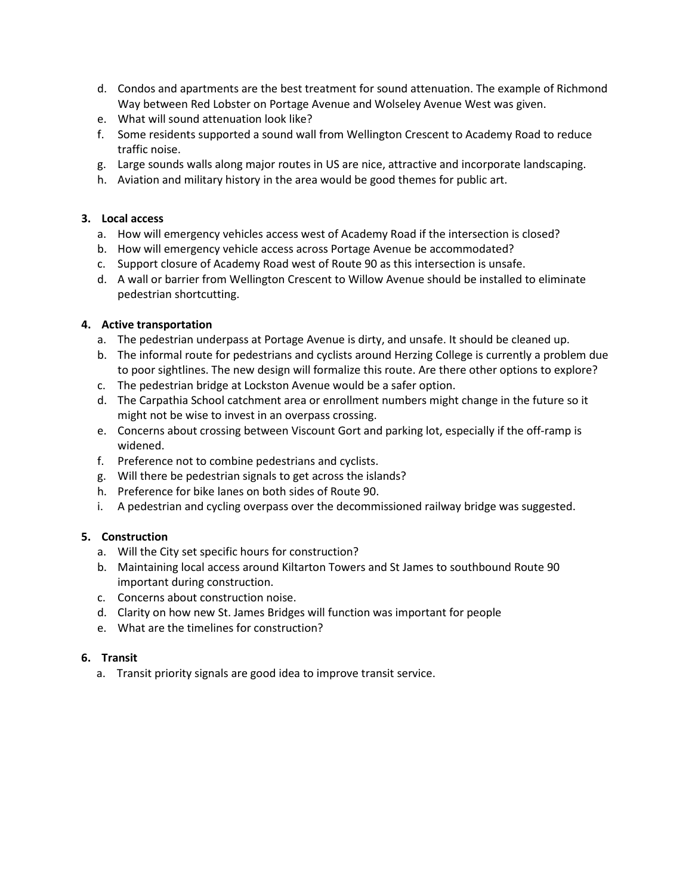- d. Condos and apartments are the best treatment for sound attenuation. The example of Richmond Way between Red Lobster on Portage Avenue and Wolseley Avenue West was given.
- e. What will sound attenuation look like?
- f. Some residents supported a sound wall from Wellington Crescent to Academy Road to reduce traffic noise.
- g. Large sounds walls along major routes in US are nice, attractive and incorporate landscaping.
- h. Aviation and military history in the area would be good themes for public art.

### **3. Local access**

- a. How will emergency vehicles access west of Academy Road if the intersection is closed?
- b. How will emergency vehicle access across Portage Avenue be accommodated?
- c. Support closure of Academy Road west of Route 90 as this intersection is unsafe.
- d. A wall or barrier from Wellington Crescent to Willow Avenue should be installed to eliminate pedestrian shortcutting.

## **4. Active transportation**

- a. The pedestrian underpass at Portage Avenue is dirty, and unsafe. It should be cleaned up.
- b. The informal route for pedestrians and cyclists around Herzing College is currently a problem due to poor sightlines. The new design will formalize this route. Are there other options to explore?
- c. The pedestrian bridge at Lockston Avenue would be a safer option.
- d. The Carpathia School catchment area or enrollment numbers might change in the future so it might not be wise to invest in an overpass crossing.
- e. Concerns about crossing between Viscount Gort and parking lot, especially if the off-ramp is widened.
- f. Preference not to combine pedestrians and cyclists.
- g. Will there be pedestrian signals to get across the islands?
- h. Preference for bike lanes on both sides of Route 90.
- i. A pedestrian and cycling overpass over the decommissioned railway bridge was suggested.

# **5. Construction**

- a. Will the City set specific hours for construction?
- b. Maintaining local access around Kiltarton Towers and St James to southbound Route 90 important during construction.
- c. Concerns about construction noise.
- d. Clarity on how new St. James Bridges will function was important for people
- e. What are the timelines for construction?

### **6. Transit**

a. Transit priority signals are good idea to improve transit service.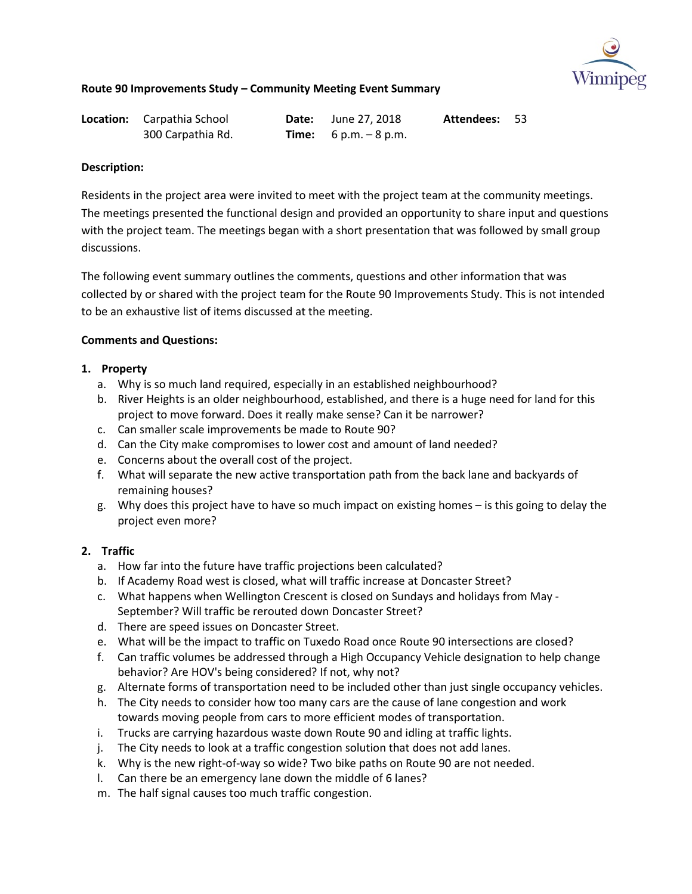

| <b>Location:</b> Carpathia School | <b>Date:</b> June 27, 2018     | Attendees: 53 |  |
|-----------------------------------|--------------------------------|---------------|--|
| 300 Carpathia Rd.                 | <b>Time:</b> $6 p.m. - 8 p.m.$ |               |  |

#### **Description:**

Residents in the project area were invited to meet with the project team at the community meetings. The meetings presented the functional design and provided an opportunity to share input and questions with the project team. The meetings began with a short presentation that was followed by small group discussions.

The following event summary outlines the comments, questions and other information that was collected by or shared with the project team for the Route 90 Improvements Study. This is not intended to be an exhaustive list of items discussed at the meeting.

#### **Comments and Questions:**

### **1. Property**

- a. Why is so much land required, especially in an established neighbourhood?
- b. River Heights is an older neighbourhood, established, and there is a huge need for land for this project to move forward. Does it really make sense? Can it be narrower?
- c. Can smaller scale improvements be made to Route 90?
- d. Can the City make compromises to lower cost and amount of land needed?
- e. Concerns about the overall cost of the project.
- f. What will separate the new active transportation path from the back lane and backyards of remaining houses?
- g. Why does this project have to have so much impact on existing homes is this going to delay the project even more?

### **2. Traffic**

- a. How far into the future have traffic projections been calculated?
- b. If Academy Road west is closed, what will traffic increase at Doncaster Street?
- c. What happens when Wellington Crescent is closed on Sundays and holidays from May September? Will traffic be rerouted down Doncaster Street?
- d. There are speed issues on Doncaster Street.
- e. What will be the impact to traffic on Tuxedo Road once Route 90 intersections are closed?
- f. Can traffic volumes be addressed through a High Occupancy Vehicle designation to help change behavior? Are HOV's being considered? If not, why not?
- g. Alternate forms of transportation need to be included other than just single occupancy vehicles.
- h. The City needs to consider how too many cars are the cause of lane congestion and work towards moving people from cars to more efficient modes of transportation.
- i. Trucks are carrying hazardous waste down Route 90 and idling at traffic lights.
- j. The City needs to look at a traffic congestion solution that does not add lanes.
- k. Why is the new right-of-way so wide? Two bike paths on Route 90 are not needed.
- l. Can there be an emergency lane down the middle of 6 lanes?
- m. The half signal causes too much traffic congestion.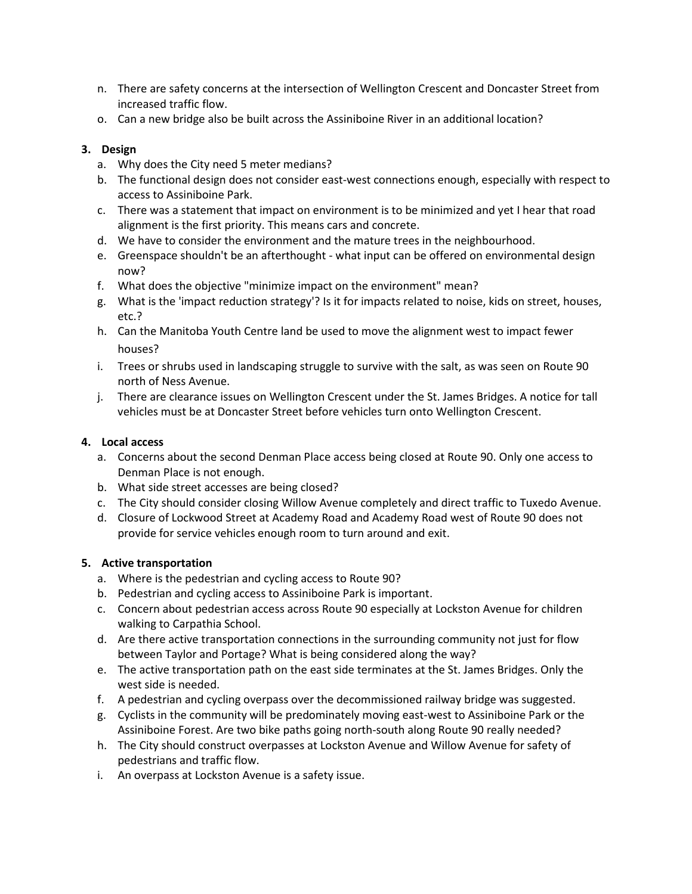- n. There are safety concerns at the intersection of Wellington Crescent and Doncaster Street from increased traffic flow.
- o. Can a new bridge also be built across the Assiniboine River in an additional location?

## **3. Design**

- a. Why does the City need 5 meter medians?
- b. The functional design does not consider east-west connections enough, especially with respect to access to Assiniboine Park.
- c. There was a statement that impact on environment is to be minimized and yet I hear that road alignment is the first priority. This means cars and concrete.
- d. We have to consider the environment and the mature trees in the neighbourhood.
- e. Greenspace shouldn't be an afterthought what input can be offered on environmental design now?
- f. What does the objective "minimize impact on the environment" mean?
- g. What is the 'impact reduction strategy'? Is it for impacts related to noise, kids on street, houses, etc.?
- h. Can the Manitoba Youth Centre land be used to move the alignment west to impact fewer houses?
- i. Trees or shrubs used in landscaping struggle to survive with the salt, as was seen on Route 90 north of Ness Avenue.
- j. There are clearance issues on Wellington Crescent under the St. James Bridges. A notice for tall vehicles must be at Doncaster Street before vehicles turn onto Wellington Crescent.

## **4. Local access**

- a. Concerns about the second Denman Place access being closed at Route 90. Only one access to Denman Place is not enough.
- b. What side street accesses are being closed?
- c. The City should consider closing Willow Avenue completely and direct traffic to Tuxedo Avenue.
- d. Closure of Lockwood Street at Academy Road and Academy Road west of Route 90 does not provide for service vehicles enough room to turn around and exit.

### **5. Active transportation**

- a. Where is the pedestrian and cycling access to Route 90?
- b. Pedestrian and cycling access to Assiniboine Park is important.
- c. Concern about pedestrian access across Route 90 especially at Lockston Avenue for children walking to Carpathia School.
- d. Are there active transportation connections in the surrounding community not just for flow between Taylor and Portage? What is being considered along the way?
- e. The active transportation path on the east side terminates at the St. James Bridges. Only the west side is needed.
- f. A pedestrian and cycling overpass over the decommissioned railway bridge was suggested.
- g. Cyclists in the community will be predominately moving east-west to Assiniboine Park or the Assiniboine Forest. Are two bike paths going north-south along Route 90 really needed?
- h. The City should construct overpasses at Lockston Avenue and Willow Avenue for safety of pedestrians and traffic flow.
- i. An overpass at Lockston Avenue is a safety issue.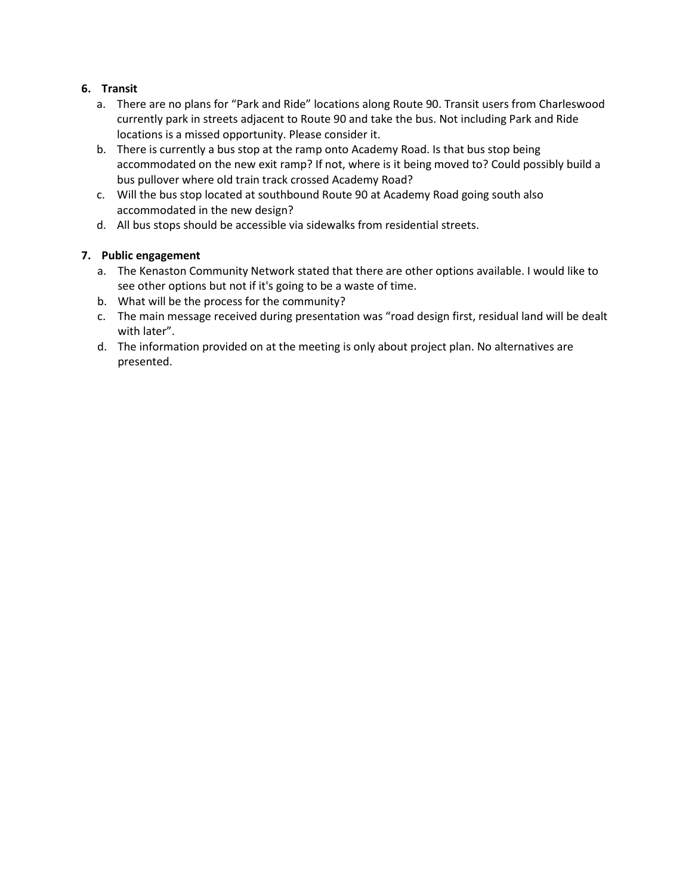# **6. Transit**

- a. There are no plans for "Park and Ride" locations along Route 90. Transit users from Charleswood currently park in streets adjacent to Route 90 and take the bus. Not including Park and Ride locations is a missed opportunity. Please consider it.
- b. There is currently a bus stop at the ramp onto Academy Road. Is that bus stop being accommodated on the new exit ramp? If not, where is it being moved to? Could possibly build a bus pullover where old train track crossed Academy Road?
- c. Will the bus stop located at southbound Route 90 at Academy Road going south also accommodated in the new design?
- d. All bus stops should be accessible via sidewalks from residential streets.

- a. The Kenaston Community Network stated that there are other options available. I would like to see other options but not if it's going to be a waste of time.
- b. What will be the process for the community?
- c. The main message received during presentation was "road design first, residual land will be dealt with later".
- d. The information provided on at the meeting is only about project plan. No alternatives are presented.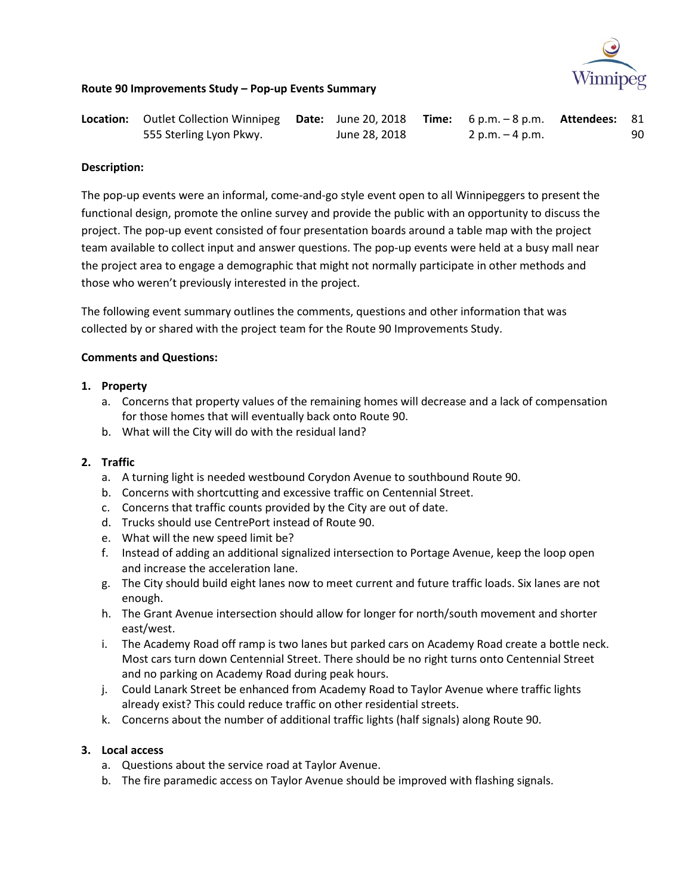

### **Route 90 Improvements Study – Pop-up Events Summary**

| Location: Outlet Collection Winnipeg Date: June 20, 2018 Time: 6 p.m. - 8 p.m. Attendees: 81 |               |                 |    |
|----------------------------------------------------------------------------------------------|---------------|-----------------|----|
| 555 Sterling Lyon Pkwy.                                                                      | June 28, 2018 | 2 p.m. – 4 p.m. | 90 |

#### **Description:**

The pop-up events were an informal, come-and-go style event open to all Winnipeggers to present the functional design, promote the online survey and provide the public with an opportunity to discuss the project. The pop-up event consisted of four presentation boards around a table map with the project team available to collect input and answer questions. The pop-up events were held at a busy mall near the project area to engage a demographic that might not normally participate in other methods and those who weren't previously interested in the project.

The following event summary outlines the comments, questions and other information that was collected by or shared with the project team for the Route 90 Improvements Study.

#### **Comments and Questions:**

#### **1. Property**

- a. Concerns that property values of the remaining homes will decrease and a lack of compensation for those homes that will eventually back onto Route 90.
- b. What will the City will do with the residual land?

### **2. Traffic**

- a. A turning light is needed westbound Corydon Avenue to southbound Route 90.
- b. Concerns with shortcutting and excessive traffic on Centennial Street.
- c. Concerns that traffic counts provided by the City are out of date.
- d. Trucks should use CentrePort instead of Route 90.
- e. What will the new speed limit be?
- f. Instead of adding an additional signalized intersection to Portage Avenue, keep the loop open and increase the acceleration lane.
- g. The City should build eight lanes now to meet current and future traffic loads. Six lanes are not enough.
- h. The Grant Avenue intersection should allow for longer for north/south movement and shorter east/west.
- i. The Academy Road off ramp is two lanes but parked cars on Academy Road create a bottle neck. Most cars turn down Centennial Street. There should be no right turns onto Centennial Street and no parking on Academy Road during peak hours.
- j. Could Lanark Street be enhanced from Academy Road to Taylor Avenue where traffic lights already exist? This could reduce traffic on other residential streets.
- k. Concerns about the number of additional traffic lights (half signals) along Route 90.

#### **3. Local access**

- a. Questions about the service road at Taylor Avenue.
- b. The fire paramedic access on Taylor Avenue should be improved with flashing signals.